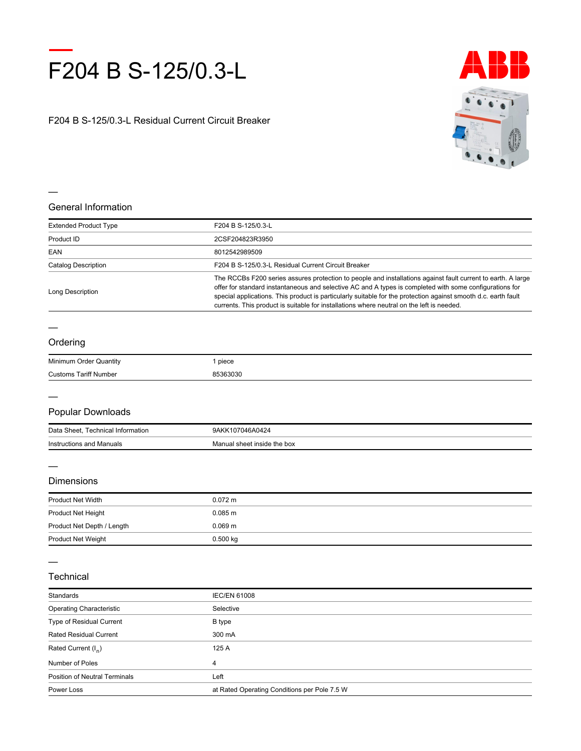

F204 B S-125/0.3-L Residual Current Circuit Breaker



### **General Information**

| <b>Extended Product Type</b> | F204 B S-125/0.3-L                                                                                                                                                                                                                                                                                                                                                                                                                     |
|------------------------------|----------------------------------------------------------------------------------------------------------------------------------------------------------------------------------------------------------------------------------------------------------------------------------------------------------------------------------------------------------------------------------------------------------------------------------------|
| Product ID                   | 2CSF204823R3950                                                                                                                                                                                                                                                                                                                                                                                                                        |
| EAN                          | 8012542989509                                                                                                                                                                                                                                                                                                                                                                                                                          |
| Catalog Description          | F204 B S-125/0.3-L Residual Current Circuit Breaker                                                                                                                                                                                                                                                                                                                                                                                    |
| Long Description             | The RCCBs F200 series assures protection to people and installations against fault current to earth. A large<br>offer for standard instantaneous and selective AC and A types is completed with some configurations for<br>special applications. This product is particularly suitable for the protection against smooth d.c. earth fault<br>currents. This product is suitable for installations where neutral on the left is needed. |

### **Ordering**

—

| Minimum Order (<br>∵Quantitγ   | piece |
|--------------------------------|-------|
| Customs<br>I aritt<br>t Number | .     |

### **Popular Downloads**

| Data<br><b>Sheet</b><br>Technical Information | $\sim$ $\sim$<br>9AK<br>11 <sup>F</sup><br>AU424 |
|-----------------------------------------------|--------------------------------------------------|
| Instructions and Manuals                      | I sheet inside the box<br><i>A</i> anual         |

#### **Dimensions**

| <b>Product Net Width</b>   | $0.072 \text{ m}$  |
|----------------------------|--------------------|
| Product Net Height         | $0.085 \text{ m}$  |
| Product Net Depth / Length | 0.069 <sub>m</sub> |
| <b>Product Net Weight</b>  | $0.500$ kg         |
|                            |                    |

#### **Technical**

| Standards                            | <b>IEC/EN 61008</b>                          |
|--------------------------------------|----------------------------------------------|
| <b>Operating Characteristic</b>      | Selective                                    |
| Type of Residual Current             | B type                                       |
| <b>Rated Residual Current</b>        | 300 mA                                       |
| Rated Current (I <sub>n</sub> )      | 125 A                                        |
| Number of Poles                      | 4                                            |
| <b>Position of Neutral Terminals</b> | Left                                         |
| Power Loss                           | at Rated Operating Conditions per Pole 7.5 W |